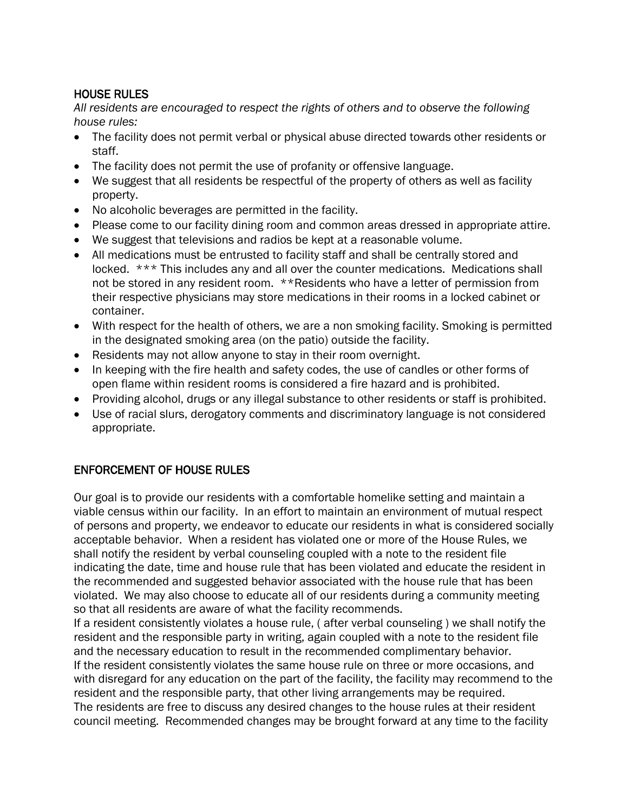## HOUSE RULES

*All residents are encouraged to respect the rights of others and to observe the following house rules:*

- The facility does not permit verbal or physical abuse directed towards other residents or staff.
- The facility does not permit the use of profanity or offensive language.
- We suggest that all residents be respectful of the property of others as well as facility property.
- No alcoholic beverages are permitted in the facility.
- Please come to our facility dining room and common areas dressed in appropriate attire.
- We suggest that televisions and radios be kept at a reasonable volume.
- All medications must be entrusted to facility staff and shall be centrally stored and locked. \*\*\* This includes any and all over the counter medications. Medications shall not be stored in any resident room. \*\*Residents who have a letter of permission from their respective physicians may store medications in their rooms in a locked cabinet or container.
- With respect for the health of others, we are a non smoking facility. Smoking is permitted in the designated smoking area (on the patio) outside the facility.
- Residents may not allow anyone to stay in their room overnight.
- In keeping with the fire health and safety codes, the use of candles or other forms of open flame within resident rooms is considered a fire hazard and is prohibited.
- Providing alcohol, drugs or any illegal substance to other residents or staff is prohibited.
- Use of racial slurs, derogatory comments and discriminatory language is not considered appropriate.

## ENFORCEMENT OF HOUSE RULES

Our goal is to provide our residents with a comfortable homelike setting and maintain a viable census within our facility. In an effort to maintain an environment of mutual respect of persons and property, we endeavor to educate our residents in what is considered socially acceptable behavior. When a resident has violated one or more of the House Rules, we shall notify the resident by verbal counseling coupled with a note to the resident file indicating the date, time and house rule that has been violated and educate the resident in the recommended and suggested behavior associated with the house rule that has been violated. We may also choose to educate all of our residents during a community meeting so that all residents are aware of what the facility recommends.

If a resident consistently violates a house rule, ( after verbal counseling ) we shall notify the resident and the responsible party in writing, again coupled with a note to the resident file and the necessary education to result in the recommended complimentary behavior. If the resident consistently violates the same house rule on three or more occasions, and with disregard for any education on the part of the facility, the facility may recommend to the resident and the responsible party, that other living arrangements may be required. The residents are free to discuss any desired changes to the house rules at their resident council meeting. Recommended changes may be brought forward at any time to the facility